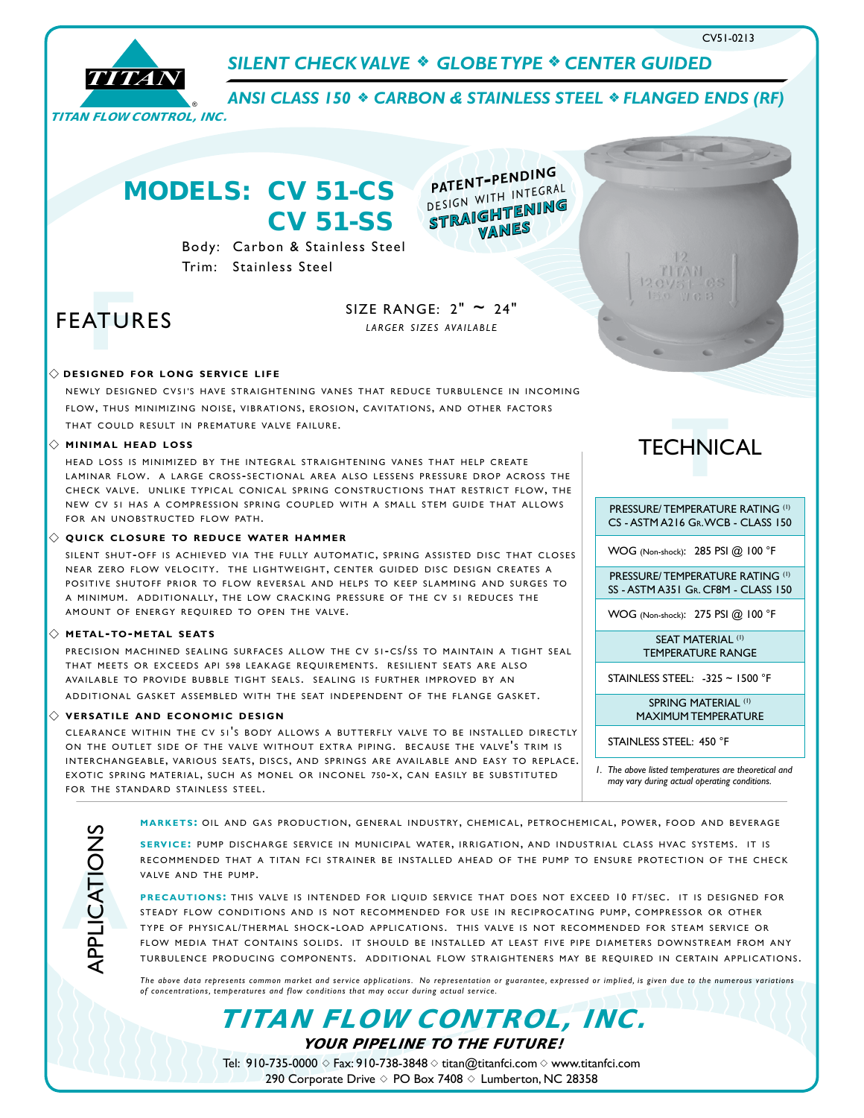



**SILENT CHECK VALVE \* GLOBE TYPE \* CENTER GUIDED** 

**ANSI CLASS 150**  $\div$  **CARBON & STAINLESS STEEL**  $\div$  **FLANGED ENDS (RF)** 

*straightenin<sup>g</sup> vanes*

*patent-pending design with integral*

# MODELS: CV 51-CS CV 51-SS

Body: Carbon & Stainless Steel Trim: Stainless Steel

# FEATURES **F**

SIZE RANGE:  $2" \approx 24"$ *l a r g e r s i z e s ava i l a b l e*

# $\Diamond$  **designed for long service life**

NEWLY DESIGNED CV51'S HAVE STRAIGHTENING VANES THAT REDUCE TURBULENCE IN INCOMING FLOW, THUS MINIMIZING NOISE, VIBRATIONS, EROSION, CAVITATIONS, AND OTHER FACTORS THAT COULD RESULT IN PREMATURE VALVE FAILURE.

### $\Diamond$  **minimal head loss**

HEAD LOSS IS MINIMIZED BY THE INTEGRAL STRAIGHTENING VANES THAT HELP CREATE LAMINAR FLOW. A LARGE CROSS-SECTIONAL AREA ALSO LESSENS PRESSURE DROP ACROSS THE CHECK VALVE. UNLIKE TYPICAL CONICAL SPRING CONSTRUCTIONS THAT RESTRICT FLOW, THE NEW CV 51 HAS A COMPRESSION SPRING COUPLED WITH A SMALL STEM GUIDE THAT ALLOWS FOR AN UNOBSTRUCTED FLOW PATH.

### $\Diamond$  QUICK CLOSURE TO REDUCE WATER HAMMER

SILENT SHUT-OFF IS ACHIEVED VIA THE FULLY AUTOMATIC, SPRING ASSISTED DISC THAT CLOSES NEAR ZERO FLOW VELOCITY. THE LIGHTWEIGHT, CENTER GUIDED DISC DESIGN CREATES A POSITIVE SHUTOFF PRIOR TO FLOW REVERSAL AND HELPS TO KEEP SLAMMING AND SURGES TO A MINIMUM. ADDITIONALLY, THE LOW CRACKING PRESSURE OF THE CV 51 REDUCES THE AMOUNT OF ENERGY REQUIRED TO OPEN THE VALVE.

### $\diamondsuit$  **metal-to-metal seats**

PRECISION MACHINED SEALING SURFACES ALLOW THE CV 51-CS/SS TO MAINTAIN A TIGHT SEAL THAT MEETS OR EXCEEDS API 598 LEAKAGE REQUIREMENTS. RESILIENT SEATS ARE ALSO AVAILABLE TO PROVIDE BUBBLE TIGHT SEALS. SEALING IS FURTHER IMPROVED BY AN ADDITIONAL GASKET ASSEMBLED WITH THE SEAT INDEPENDENT OF THE FLANGE GASKET.

#### $\diamondsuit$  VERSATILE AND ECONOMIC DESIGN

CLEARANCE WITHIN THE CV 51'S BODY ALLOWS A BUTTERFLY VALVE TO BE INSTALLED DIRECTLY ON THE OUTLET SIDE OF THE VALVE WITHOUT EXTRA PIPING. BECAUSE THE VALVE'S TRIM IS INTERCHANGEABLE, VARIOUS SEATS, DISCS, AND SPRINGS ARE AVAILABLE AND EASY TO REPLACE. EXOTIC SPRING MATERIAL, SUCH AS MONEL OR INCONEL 750-X, CAN EASILY BE SUBSTITUTED FOR THE STANDARD STAINLESS STEEL.

**MARKETS: OIL AND GAS PRODUCTION, GENERAL INDUSTRY, CHEMICAL, PETROCHEMICAL, POWER, FOOD AND BEVERAGE** 

SERVICE: PUMP DISCHARGE SERVICE IN MUNICIPAL WATER, IRRIGATION, AND INDUSTRIAL CLASS HVAC SYSTEMS. IT IS RECOMMENDED THAT A TITAN FCI STRAINER BE INSTALLED AHEAD OF THE PUMP TO ENSURE PROTECTION OF THE CHECK VALVE AND THE PUMP.

PRECAUTIONS: THIS VALVE IS INTENDED FOR LIQUID SERVICE THAT DOES NOT EXCEED 10 FT/SEC. IT IS DESIGNED FOR STEADY FLOW CONDITIONS AND IS NOT RECOMMENDED FOR USE IN RECIPROCATING PUMP, COMPRESSOR OR OTHER TYPE OF PHYSICAL/THERMAL SHOCK-LOAD APPLICATIONS. THIS VALVE IS NOT RECOMMENDED FOR STEAM SERVICE OR FLOW MEDIA THAT CONTAINS SOLIDS. IT SHOULD BE INSTALLED AT LEAST FIVE PIPE DIAMETERS DOWNSTREAM FROM ANY TURBULENCE PRODUCING COMPONENTS. ADDITIONAL FLOW STRAIGHTENERS MAY BE REOUIRED IN CERTAIN APPLICATIONS.

*The above data represents common market and service applications. No representation or guarantee, expressed or implied, is given due to the numerous variations of concentrations, temperatures and flow conditions that may occur during actual service.*

> YOUR PIPELINE TO THE FUTURE! TITAN FLOW CONTROL, INC.

> Tel: 910-735-0000  $\diamond$  Fax: 910-738-3848  $\diamond$  titan@titanfci.com  $\diamond$  www.titanfci.com 290 Corporate Drive  $\diamond$  PO Box 7408  $\diamond$  Lumberton, NC 28358



PRESSURE/ TEMPERATURE RATING (1) CS - ASTM A216 Gr. WCB - CLASS 150

WOG (Non-shock): 285 PSI @ 100 °F

PRESSURE/ TEMPERATURE RATING (1) SS - ASTM A351 Gr. CF8M - CLASS 150

WOG (Non-shock): 275 PSI @ 100 °F

SEAT MATERIAL<sup>(1)</sup> TEMPERATURE RANGE

STAINLESS STEEL: -325 ~ 1500 °F

SPRING MATERIAL<sup>(1)</sup> MAXIMUM TEMPERATURE

STAINLESS STEEL: 450 °F

*1. The above listed temperatures are theoretical and may vary during actual operating conditions.*

**A**APPLICATIONS